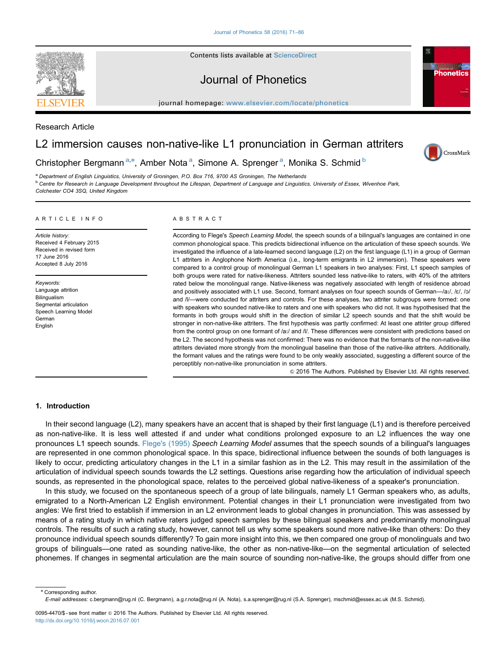Contents lists available at ScienceDirect



Journal of Phonetics

journal homepage: <www.elsevier.com/locate/phonetics>/ $p$ 

Research Article

# L2 immersion causes non-native-like L1 pronunciation in German attriters



**Phonetics** 

# Christopher Bergmann<sup>a,\*</sup>, Amber Nota<sup>a</sup>, Simone A. Sprenger<sup>a</sup>, Monika S. Schmid<sup>b</sup>

<sup>a</sup> Department of English Linguistics, University of Groningen, P.O. Box 716, 9700 AS Groningen, The Netherlands

<sup>b</sup> Centre for Research in Language Development throughout the Lifespan, Department of Language and Linguistics, University of Essex, Wivenhoe Park, Colchester CO4 3SQ, United Kingdom

#### ARTICLE INFO

Article history: Received 4 February 2015 Received in revised form 17 June 2016 Accepted 8 July 2016

Keywords: Language attrition Bilingualism Segmental articulation Speech Learning Model German English

# ABSTRACT

According to Flege's Speech Learning Model, the speech sounds of a bilingual's languages are contained in one common phonological space. This predicts bidirectional influence on the articulation of these speech sounds. We investigated the influence of a late-learned second language (L2) on the first language (L1) in a group of German L1 attriters in Anglophone North America (i.e., long-term emigrants in L2 immersion). These speakers were compared to a control group of monolingual German L1 speakers in two analyses: First, L1 speech samples of both groups were rated for native-likeness. Attriters sounded less native-like to raters, with 40% of the attriters rated below the monolingual range. Native-likeness was negatively associated with length of residence abroad and positively associated with L1 use. Second, formant analyses on four speech sounds of German--/a:/, /c/, /o/ and /l/—were conducted for attriters and controls. For these analyses, two attriter subgroups were formed: one with speakers who sounded native-like to raters and one with speakers who did not. It was hypothesised that the formants in both groups would shift in the direction of similar L2 speech sounds and that the shift would be stronger in non-native-like attriters. The first hypothesis was partly confirmed: At least one attriter group differed from the control group on one formant of /aː/ and /l/. These differences were consistent with predictions based on the L2. The second hypothesis was not confirmed: There was no evidence that the formants of the non-native-like attriters deviated more strongly from the monolingual baseline than those of the native-like attriters. Additionally, the formant values and the ratings were found to be only weakly associated, suggesting a different source of the perceptibly non-native-like pronunciation in some attriters.

 $©$  2016 The Authors. Published by Elsevier Ltd. All rights reserved.

#### 1. Introduction

In their second language (L2), many speakers have an accent that is shaped by their first language (L1) and is therefore perceived as non-native-like. It is less well attested if and under what conditions prolonged exposure to an L2 influences the way one pronounces L1 speech sounds. [Flege's \(1995\)](#page-13-0) Speech Learning Model assumes that the speech sounds of a bilingual's languages are represented in one common phonological space. In this space, bidirectional influence between the sounds of both languages is likely to occur, predicting articulatory changes in the L1 in a similar fashion as in the L2. This may result in the assimilation of the articulation of individual speech sounds towards the L2 settings. Questions arise regarding how the articulation of individual speech sounds, as represented in the phonological space, relates to the perceived global native-likeness of a speaker's pronunciation.

In this study, we focused on the spontaneous speech of a group of late bilinguals, namely L1 German speakers who, as adults, emigrated to a North-American L2 English environment. Potential changes in their L1 pronunciation were investigated from two angles: We first tried to establish if immersion in an L2 environment leads to global changes in pronunciation. This was assessed by means of a rating study in which native raters judged speech samples by these bilingual speakers and predominantly monolingual controls. The results of such a rating study, however, cannot tell us why some speakers sound more native-like than others: Do they pronounce individual speech sounds differently? To gain more insight into this, we then compared one group of monolinguals and two groups of bilinguals—one rated as sounding native-like, the other as non-native-like—on the segmental articulation of selected phonemes. If changes in segmental articulation are the main source of sounding non-native-like, the groups should differ from one

\* Corresponding author. E-mail addresses: [c.bergmann@rug.nl](mailto:c.bergmann@rug.nl) (C. Bergmann), [a.g.r.nota@rug.nl \(](mailto:a.g.r.nota@rug.nl)A. Nota), [s.a.sprenger@rug.nl \(](mailto:s.a.sprenger@rug.nl)S.A. Sprenger), [mschmid@essex.ac.uk \(](mailto:mschmid@essex.ac.uk)M.S. Schmid).

<sup>0095-4470/\$ -</sup> see front matter @ 2016 The Authors. Published by Elsevier Ltd. All rights reserved. <http://dx.doi.org/10.1016/j.wocn.2016.07.001>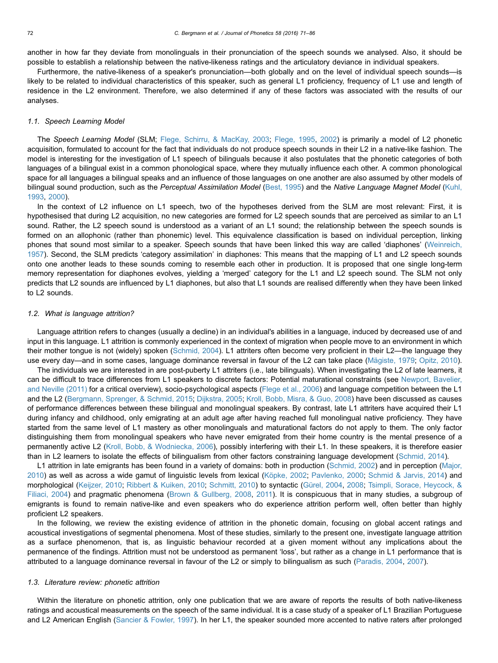another in how far they deviate from monolinguals in their pronunciation of the speech sounds we analysed. Also, it should be possible to establish a relationship between the native-likeness ratings and the articulatory deviance in individual speakers.

Furthermore, the native-likeness of a speaker's pronunciation—both globally and on the level of individual speech sounds—is likely to be related to individual characteristics of this speaker, such as general L1 proficiency, frequency of L1 use and length of residence in the L2 environment. Therefore, we also determined if any of these factors was associated with the results of our analyses.

# 1.1. Speech Learning Model

The Speech Learning Model (SLM; [Flege, Schirru, & MacKay, 2003](#page-14-0); [Flege, 1995,](#page-13-0) [2002\)](#page-14-0) is primarily a model of L2 phonetic acquisition, formulated to account for the fact that individuals do not produce speech sounds in their L2 in a native-like fashion. The model is interesting for the investigation of L1 speech of bilinguals because it also postulates that the phonetic categories of both languages of a bilingual exist in a common phonological space, where they mutually influence each other. A common phonological space for all languages a bilingual speaks and an influence of those languages on one another are also assumed by other models of bilingual sound production, such as the Perceptual Assimilation Model [\(Best, 1995](#page-13-0)) and the Native Language Magnet Model ([Kuhl,](#page-14-0) [1993](#page-14-0), [2000\)](#page-14-0).

In the context of L2 influence on L1 speech, two of the hypotheses derived from the SLM are most relevant: First, it is hypothesised that during L2 acquisition, no new categories are formed for L2 speech sounds that are perceived as similar to an L1 sound. Rather, the L2 speech sound is understood as a variant of an L1 sound; the relationship between the speech sounds is formed on an allophonic (rather than phonemic) level. This equivalence classification is based on individual perception, linking phones that sound most similar to a speaker. Speech sounds that have been linked this way are called 'diaphones' ([Weinreich,](#page-15-0) [1957](#page-15-0)). Second, the SLM predicts 'category assimilation' in diaphones: This means that the mapping of L1 and L2 speech sounds onto one another leads to these sounds coming to resemble each other in production. It is proposed that one single long-term memory representation for diaphones evolves, yielding a 'merged' category for the L1 and L2 speech sound. The SLM not only predicts that L2 sounds are influenced by L1 diaphones, but also that L1 sounds are realised differently when they have been linked to L2 sounds.

#### 1.2. What is language attrition?

Language attrition refers to changes (usually a decline) in an individual's abilities in a language, induced by decreased use of and input in this language. L1 attrition is commonly experienced in the context of migration when people move to an environment in which their mother tongue is not (widely) spoken ([Schmid, 2004\)](#page-14-0). L1 attriters often become very proficient in their L2—the language they use every day—and in some cases, language dominance reversal in favour of the L2 can take place (Mä[giste, 1979](#page-14-0); [Opitz, 2010](#page-14-0)).

The individuals we are interested in are post-puberty L1 attriters (i.e., late bilinguals). When investigating the L2 of late learners, it can be difficult to trace differences from L1 speakers to discrete factors: Potential maturational constraints (see [Newport, Bavelier,](#page-14-0) [and Neville \(2011\)](#page-14-0) for a critical overview), socio-psychological aspects [\(Flege et al., 2006](#page-14-0)) and language competition between the L1 and the L2 [\(Bergmann, Sprenger,](#page-13-0) [& Schmid, 2015;](#page-13-0) [Dijkstra, 2005;](#page-13-0) [Kroll, Bobb, Misra,](#page-14-0) [& Guo, 2008](#page-14-0)) have been discussed as causes of performance differences between these bilingual and monolingual speakers. By contrast, late L1 attriters have acquired their L1 during infancy and childhood, only emigrating at an adult age after having reached full monolingual native proficiency. They have started from the same level of L1 mastery as other monolinguals and maturational factors do not apply to them. The only factor distinguishing them from monolingual speakers who have never emigrated from their home country is the mental presence of a permanently active L2 ([Kroll, Bobb, & Wodniecka, 2006](#page-14-0)), possibly interfering with their L1. In these speakers, it is therefore easier than in L2 learners to isolate the effects of bilingualism from other factors constraining language development ([Schmid, 2014](#page-14-0)).

L1 attrition in late emigrants has been found in a variety of domains: both in production [\(Schmid, 2002\)](#page-14-0) and in perception ([Major,](#page-14-0) [2010](#page-14-0)) as well as across a wide gamut of linguistic levels from lexical (Kö[pke, 2002;](#page-14-0) [Pavlenko, 2000;](#page-14-0) [Schmid & Jarvis, 2014\)](#page-14-0) and morphological ([Keijzer, 2010](#page-14-0); [Ribbert](#page-14-0) [& Kuiken, 2010;](#page-14-0) [Schmitt, 2010](#page-14-0)) to syntactic (Gü[rel, 2004,](#page-14-0) [2008;](#page-14-0) [Tsimpli, Sorace, Heycock, &](#page-14-0) [Filiaci, 2004](#page-14-0)) and pragmatic phenomena ([Brown & Gullberg, 2008,](#page-13-0) [2011](#page-13-0)). It is conspicuous that in many studies, a subgroup of emigrants is found to remain native-like and even speakers who do experience attrition perform well, often better than highly proficient L2 speakers.

In the following, we review the existing evidence of attrition in the phonetic domain, focusing on global accent ratings and acoustical investigations of segmental phenomena. Most of these studies, similarly to the present one, investigate language attrition as a surface phenomenon, that is, as linguistic behaviour recorded at a given moment without any implications about the permanence of the findings. Attrition must not be understood as permanent 'loss', but rather as a change in L1 performance that is attributed to a language dominance reversal in favour of the L2 or simply to bilingualism as such [\(Paradis, 2004,](#page-14-0) [2007](#page-14-0)).

# 1.3. Literature review: phonetic attrition

Within the literature on phonetic attrition, only one publication that we are aware of reports the results of both native-likeness ratings and acoustical measurements on the speech of the same individual. It is a case study of a speaker of L1 Brazilian Portuguese and L2 American English ([Sancier & Fowler, 1997\)](#page-14-0). In her L1, the speaker sounded more accented to native raters after prolonged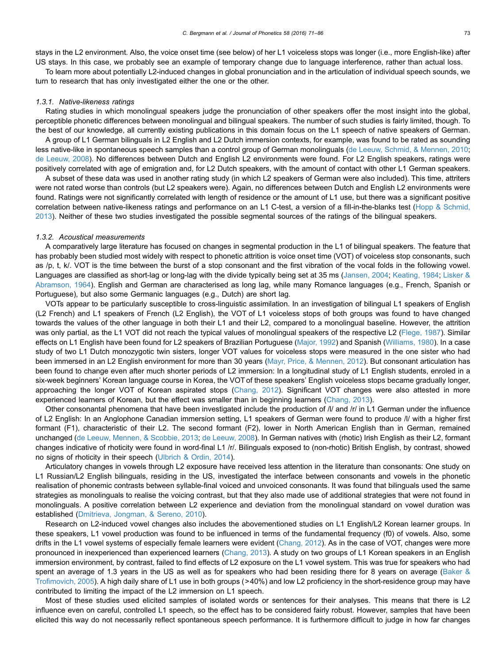stays in the L2 environment. Also, the voice onset time (see below) of her L1 voiceless stops was longer (i.e., more English-like) after US stays. In this case, we probably see an example of temporary change due to language interference, rather than actual loss.

To learn more about potentially L2-induced changes in global pronunciation and in the articulation of individual speech sounds, we turn to research that has only investigated either the one or the other.

# 1.3.1. Native-likeness ratings

Rating studies in which monolingual speakers judge the pronunciation of other speakers offer the most insight into the global, perceptible phonetic differences between monolingual and bilingual speakers. The number of such studies is fairly limited, though. To the best of our knowledge, all currently existing publications in this domain focus on the L1 speech of native speakers of German.

A group of L1 German bilinguals in L2 English and L2 Dutch immersion contexts, for example, was found to be rated as sounding less native-like in spontaneous speech samples than a control group of German monolinguals [\(de Leeuw, Schmid, & Mennen, 2010](#page-13-0); [de Leeuw, 2008\)](#page-13-0). No differences between Dutch and English L2 environments were found. For L2 English speakers, ratings were positively correlated with age of emigration and, for L2 Dutch speakers, with the amount of contact with other L1 German speakers.

A subset of these data was used in another rating study (in which L2 speakers of German were also included). This time, attriters were not rated worse than controls (but L2 speakers were). Again, no differences between Dutch and English L2 environments were found. Ratings were not significantly correlated with length of residence or the amount of L1 use, but there was a significant positive correlation between native-likeness ratings and performance on an L1 C-test, a version of a fill-in-the-blanks test [\(Hopp](#page-14-0) [& Schmid,](#page-14-0) [2013](#page-14-0)). Neither of these two studies investigated the possible segmental sources of the ratings of the bilingual speakers.

# 1.3.2. Acoustical measurements

A comparatively large literature has focused on changes in segmental production in the L1 of bilingual speakers. The feature that has probably been studied most widely with respect to phonetic attrition is voice onset time (VOT) of voiceless stop consonants, such as /p, t, k/. VOT is the time between the burst of a stop consonant and the first vibration of the vocal folds in the following vowel. Languages are classified as short-lag or long-lag with the divide typically being set at 35 ms [\(Jansen, 2004;](#page-14-0) [Keating, 1984](#page-14-0); [Lisker &](#page-14-0) [Abramson, 1964\)](#page-14-0). English and German are characterised as long lag, while many Romance languages (e.g., French, Spanish or Portuguese), but also some Germanic languages (e.g., Dutch) are short lag.

VOTs appear to be particularly susceptible to cross-linguistic assimilation. In an investigation of bilingual L1 speakers of English (L2 French) and L1 speakers of French (L2 English), the VOT of L1 voiceless stops of both groups was found to have changed towards the values of the other language in both their L1 and their L2, compared to a monolingual baseline. However, the attrition was only partial, as the L1 VOT did not reach the typical values of monolingual speakers of the respective L2 [\(Flege, 1987](#page-13-0)). Similar effects on L1 English have been found for L2 speakers of Brazilian Portuguese [\(Major, 1992\)](#page-14-0) and Spanish [\(Williams, 1980](#page-15-0)). In a case study of two L1 Dutch monozygotic twin sisters, longer VOT values for voiceless stops were measured in the one sister who had been immersed in an L2 English environment for more than 30 years ([Mayr, Price,](#page-14-0) [& Mennen, 2012](#page-14-0)). But consonant articulation has been found to change even after much shorter periods of L2 immersion: In a longitudinal study of L1 English students, enroled in a six-week beginners' Korean language course in Korea, the VOT of these speakers' English voiceless stops became gradually longer, approaching the longer VOT of Korean aspirated stops [\(Chang, 2012](#page-13-0)). Significant VOT changes were also attested in more experienced learners of Korean, but the effect was smaller than in beginning learners ([Chang, 2013](#page-13-0)).

Other consonantal phenomena that have been investigated include the production of /l/ and /r/ in L1 German under the influence of L2 English: In an Anglophone Canadian immersion setting, L1 speakers of German were found to produce /l/ with a higher first formant (F1), characteristic of their L2. The second formant (F2), lower in North American English than in German, remained unchanged ([de Leeuw, Mennen, & Scobbie, 2013](#page-13-0); [de Leeuw, 2008\)](#page-13-0). In German natives with (rhotic) Irish English as their L2, formant changes indicative of rhoticity were found in word-final L1 /r/. Bilinguals exposed to (non-rhotic) British English, by contrast, showed no signs of rhoticity in their speech ([Ulbrich & Ordin, 2014\)](#page-15-0).

Articulatory changes in vowels through L2 exposure have received less attention in the literature than consonants: One study on L1 Russian/L2 English bilinguals, residing in the US, investigated the interface between consonants and vowels in the phonetic realisation of phonemic contrasts between syllable-final voiced and unvoiced consonants. It was found that bilinguals used the same strategies as monolinguals to realise the voicing contrast, but that they also made use of additional strategies that were not found in monolinguals. A positive correlation between L2 experience and deviation from the monolingual standard on vowel duration was established ([Dmitrieva, Jongman, & Sereno, 2010\)](#page-13-0).

Research on L2-induced vowel changes also includes the abovementioned studies on L1 English/L2 Korean learner groups. In these speakers, L1 vowel production was found to be influenced in terms of the fundamental frequency (f0) of vowels. Also, some drifts in the L1 vowel systems of especially female learners were evident ([Chang, 2012\)](#page-13-0). As in the case of VOT, changes were more pronounced in inexperienced than experienced learners [\(Chang, 2013](#page-13-0)). A study on two groups of L1 Korean speakers in an English immersion environment, by contrast, failed to find effects of L2 exposure on the L1 vowel system. This was true for speakers who had spent an average of 1.3 years in the US as well as for speakers who had been residing there for 8 years on average (Baker  $&$ Trofi[movich, 2005\)](#page-13-0). A high daily share of L1 use in both groups (>40%) and low L2 proficiency in the short-residence group may have contributed to limiting the impact of the L2 immersion on L1 speech.

Most of these studies used elicited samples of isolated words or sentences for their analyses. This means that there is L2 influence even on careful, controlled L1 speech, so the effect has to be considered fairly robust. However, samples that have been elicited this way do not necessarily reflect spontaneous speech performance. It is furthermore difficult to judge in how far changes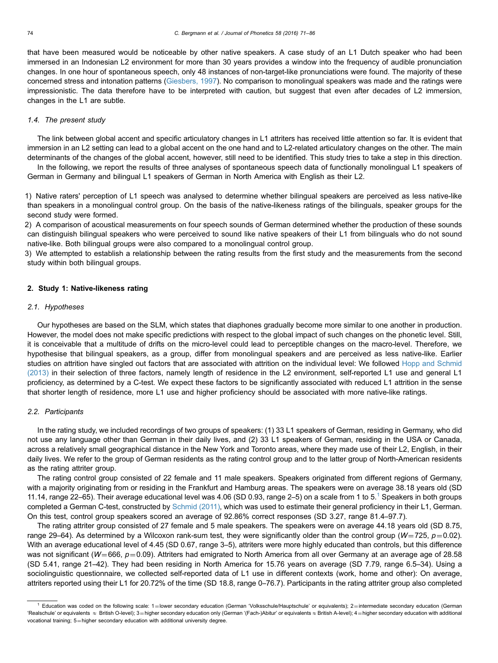that have been measured would be noticeable by other native speakers. A case study of an L1 Dutch speaker who had been immersed in an Indonesian L2 environment for more than 30 years provides a window into the frequency of audible pronunciation changes. In one hour of spontaneous speech, only 48 instances of non-target-like pronunciations were found. The majority of these concerned stress and intonation patterns [\(Giesbers, 1997](#page-14-0)). No comparison to monolingual speakers was made and the ratings were impressionistic. The data therefore have to be interpreted with caution, but suggest that even after decades of L2 immersion, changes in the L1 are subtle.

#### 1.4. The present study

The link between global accent and specific articulatory changes in L1 attriters has received little attention so far. It is evident that immersion in an L2 setting can lead to a global accent on the one hand and to L2-related articulatory changes on the other. The main determinants of the changes of the global accent, however, still need to be identified. This study tries to take a step in this direction.

In the following, we report the results of three analyses of spontaneous speech data of functionally monolingual L1 speakers of German in Germany and bilingual L1 speakers of German in North America with English as their L2.

1) Native raters' perception of L1 speech was analysed to determine whether bilingual speakers are perceived as less native-like than speakers in a monolingual control group. On the basis of the native-likeness ratings of the bilinguals, speaker groups for the second study were formed.

2) A comparison of acoustical measurements on four speech sounds of German determined whether the production of these sounds can distinguish bilingual speakers who were perceived to sound like native speakers of their L1 from bilinguals who do not sound native-like. Both bilingual groups were also compared to a monolingual control group.

3) We attempted to establish a relationship between the rating results from the first study and the measurements from the second study within both bilingual groups.

#### 2. Study 1: Native-likeness rating

#### 2.1. Hypotheses

Our hypotheses are based on the SLM, which states that diaphones gradually become more similar to one another in production. However, the model does not make specific predictions with respect to the global impact of such changes on the phonetic level. Still, it is conceivable that a multitude of drifts on the micro-level could lead to perceptible changes on the macro-level. Therefore, we hypothesise that bilingual speakers, as a group, differ from monolingual speakers and are perceived as less native-like. Earlier studies on attrition have singled out factors that are associated with attrition on the individual level: We followed [Hopp and Schmid](#page-14-0) [\(2013\)](#page-14-0) in their selection of three factors, namely length of residence in the L2 environment, self-reported L1 use and general L1 proficiency, as determined by a C-test. We expect these factors to be significantly associated with reduced L1 attrition in the sense that shorter length of residence, more L1 use and higher proficiency should be associated with more native-like ratings.

#### 2.2. Participants

In the rating study, we included recordings of two groups of speakers: (1) 33 L1 speakers of German, residing in Germany, who did not use any language other than German in their daily lives, and (2) 33 L1 speakers of German, residing in the USA or Canada, across a relatively small geographical distance in the New York and Toronto areas, where they made use of their L2, English, in their daily lives. We refer to the group of German residents as the rating control group and to the latter group of North-American residents as the rating attriter group.

The rating control group consisted of 22 female and 11 male speakers. Speakers originated from different regions of Germany, with a majority originating from or residing in the Frankfurt and Hamburg areas. The speakers were on average 38.18 years old (SD 11.14, range 22–65). Their average educational level was 4.06 (SD 0.93, range 2–5) on a scale from 1 to  $5<sup>1</sup>$  Speakers in both groups completed a German C-test, constructed by [Schmid \(2011\)](#page-14-0), which was used to estimate their general proficiency in their L1, German. On this test, control group speakers scored an average of 92.86% correct responses (SD 3.27, range 81.4–97.7).

The rating attriter group consisted of 27 female and 5 male speakers. The speakers were on average 44.18 years old (SD 8.75, range 29–64). As determined by a Wilcoxon rank-sum test, they were significantly older than the control group (W=725,  $p=0.02$ ). With an average educational level of 4.45 (SD 0.67, range 3-5), attriters were more highly educated than controls, but this difference was not significant ( $W=666$ ,  $p=0.09$ ). Attriters had emigrated to North America from all over Germany at an average age of 28.58 (SD 5.41, range 21–42). They had been residing in North America for 15.76 years on average (SD 7.79, range 6.5–34). Using a sociolinguistic questionnaire, we collected self-reported data of L1 use in different contexts (work, home and other): On average, attriters reported using their L1 for 20.72% of the time (SD 18.8, range 0–76.7). Participants in the rating attriter group also completed

Education was coded on the following scale:  $1 =$ lower secondary education (German 'Volksschule/Hauptschule' or equivalents);  $2 =$ intermediate secondary education (German 'Realschule' or equivalents  $\approx$  British O-level); 3=higher secondary education only (German '(Fach-)Abitur' or equivalents  $\approx$  British A-level); 4=higher secondary education with additional vocational training; 5=higher secondary education with additional university degree.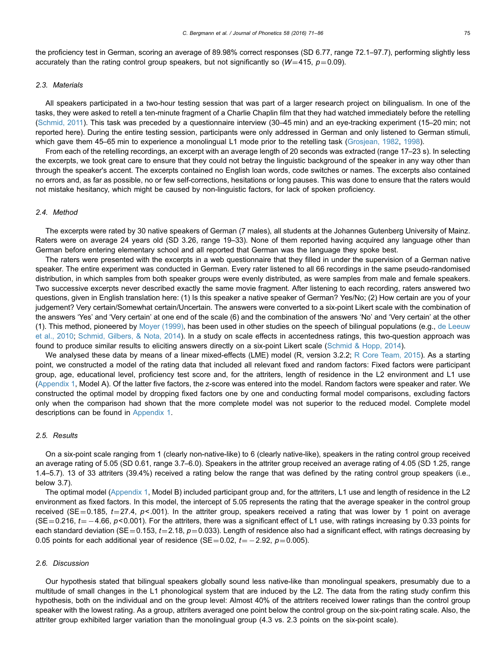the proficiency test in German, scoring an average of 89.98% correct responses (SD 6.77, range 72.1–97.7), performing slightly less accurately than the rating control group speakers, but not significantly so  $(W=415, p=0.09)$ .

# 2.3. Materials

All speakers participated in a two-hour testing session that was part of a larger research project on bilingualism. In one of the tasks, they were asked to retell a ten-minute fragment of a Charlie Chaplin film that they had watched immediately before the retelling [\(Schmid, 2011\)](#page-14-0). This task was preceded by a questionnaire interview (30–45 min) and an eye-tracking experiment (15–20 min; not reported here). During the entire testing session, participants were only addressed in German and only listened to German stimuli, which gave them 45–65 min to experience a monolingual L1 mode prior to the retelling task ([Grosjean, 1982](#page-14-0), [1998\)](#page-14-0).

From each of the retelling recordings, an excerpt with an average length of 20 seconds was extracted (range 17–23 s). In selecting the excerpts, we took great care to ensure that they could not betray the linguistic background of the speaker in any way other than through the speaker's accent. The excerpts contained no English loan words, code switches or names. The excerpts also contained no errors and, as far as possible, no or few self-corrections, hesitations or long pauses. This was done to ensure that the raters would not mistake hesitancy, which might be caused by non-linguistic factors, for lack of spoken proficiency.

# 2.4. Method

The excerpts were rated by 30 native speakers of German (7 males), all students at the Johannes Gutenberg University of Mainz. Raters were on average 24 years old (SD 3.26, range 19–33). None of them reported having acquired any language other than German before entering elementary school and all reported that German was the language they spoke best.

The raters were presented with the excerpts in a web questionnaire that they filled in under the supervision of a German native speaker. The entire experiment was conducted in German. Every rater listened to all 66 recordings in the same pseudo-randomised distribution, in which samples from both speaker groups were evenly distributed, as were samples from male and female speakers. Two successive excerpts never described exactly the same movie fragment. After listening to each recording, raters answered two questions, given in English translation here: (1) Is this speaker a native speaker of German? Yes/No; (2) How certain are you of your judgement? Very certain/Somewhat certain/Uncertain. The answers were converted to a six-point Likert scale with the combination of the answers 'Yes' and 'Very certain' at one end of the scale (6) and the combination of the answers 'No' and 'Very certain' at the other (1). This method, pioneered by [Moyer \(1999\)](#page-14-0), has been used in other studies on the speech of bilingual populations (e.g., [de Leeuw](#page-13-0) [et al., 2010;](#page-13-0) [Schmid, Gilbers, & Nota, 2014](#page-14-0)). In a study on scale effects in accentedness ratings, this two-question approach was found to produce similar results to eliciting answers directly on a six-point Likert scale [\(Schmid](#page-14-0) [& Hopp, 2014](#page-14-0)).

We analysed these data by means of a linear mixed-effects (LME) model (R, version 3.2.2; [R Core Team, 2015](#page-14-0)). As a starting point, we constructed a model of the rating data that included all relevant fixed and random factors: Fixed factors were participant group, age, educational level, proficiency test score and, for the attriters, length of residence in the L2 environment and L1 use [\(Appendix 1,](#page-13-0) Model A). Of the latter five factors, the z-score was entered into the model. Random factors were speaker and rater. We constructed the optimal model by dropping fixed factors one by one and conducting formal model comparisons, excluding factors only when the comparison had shown that the more complete model was not superior to the reduced model. Complete model descriptions can be found in [Appendix 1](#page-13-0).

# 2.5. Results

On a six-point scale ranging from 1 (clearly non-native-like) to 6 (clearly native-like), speakers in the rating control group received an average rating of 5.05 (SD 0.61, range 3.7–6.0). Speakers in the attriter group received an average rating of 4.05 (SD 1.25, range 1.4–5.7). 13 of 33 attriters (39.4%) received a rating below the range that was defined by the rating control group speakers (i.e., below 3.7).

The optimal model ([Appendix 1](#page-13-0), Model B) included participant group and, for the attriters, L1 use and length of residence in the L2 environment as fixed factors. In this model, the intercept of 5.05 represents the rating that the average speaker in the control group received (SE=0.185,  $t=27.4$ ,  $p<0.01$ ). In the attriter group, speakers received a rating that was lower by 1 point on average (SE=0.216,  $t$  =  $-$  4.66,  $p$ <0.001). For the attriters, there was a significant effect of L1 use, with ratings increasing by 0.33 points for each standard deviation (SE = 0.153,  $t = 2.18$ ,  $p = 0.033$ ). Length of residence also had a significant effect, with ratings decreasing by 0.05 points for each additional year of residence (SE=0.02,  $t$  = -2.92,  $p$  = 0.005).

# 2.6. Discussion

Our hypothesis stated that bilingual speakers globally sound less native-like than monolingual speakers, presumably due to a multitude of small changes in the L1 phonological system that are induced by the L2. The data from the rating study confirm this hypothesis, both on the individual and on the group level: Almost 40% of the attriters received lower ratings than the control group speaker with the lowest rating. As a group, attriters averaged one point below the control group on the six-point rating scale. Also, the attriter group exhibited larger variation than the monolingual group (4.3 vs. 2.3 points on the six-point scale).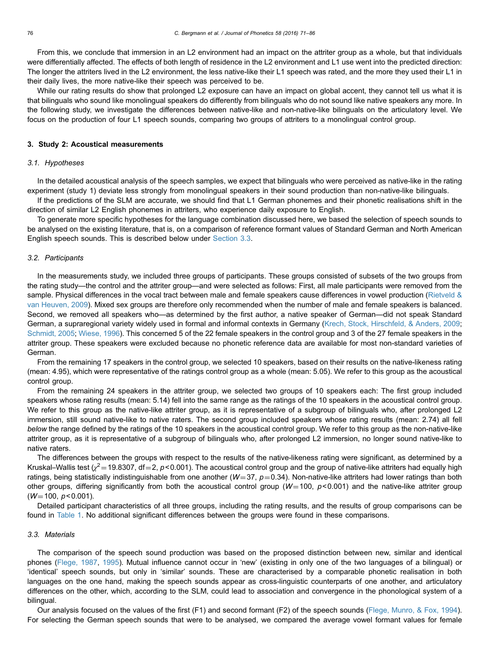<span id="page-5-0"></span>From this, we conclude that immersion in an L2 environment had an impact on the attriter group as a whole, but that individuals were differentially affected. The effects of both length of residence in the L2 environment and L1 use went into the predicted direction: The longer the attriters lived in the L2 environment, the less native-like their L1 speech was rated, and the more they used their L1 in their daily lives, the more native-like their speech was perceived to be.

While our rating results do show that prolonged L2 exposure can have an impact on global accent, they cannot tell us what it is that bilinguals who sound like monolingual speakers do differently from bilinguals who do not sound like native speakers any more. In the following study, we investigate the differences between native-like and non-native-like bilinguals on the articulatory level. We focus on the production of four L1 speech sounds, comparing two groups of attriters to a monolingual control group.

#### 3. Study 2: Acoustical measurements

#### 3.1. Hypotheses

In the detailed acoustical analysis of the speech samples, we expect that bilinguals who were perceived as native-like in the rating experiment (study 1) deviate less strongly from monolingual speakers in their sound production than non-native-like bilinguals.

If the predictions of the SLM are accurate, we should find that L1 German phonemes and their phonetic realisations shift in the direction of similar L2 English phonemes in attriters, who experience daily exposure to English.

To generate more specific hypotheses for the language combination discussed here, we based the selection of speech sounds to be analysed on the existing literature, that is, on a comparison of reference formant values of Standard German and North American English speech sounds. This is described below under Section 3.3.

#### 3.2. Participants

In the measurements study, we included three groups of participants. These groups consisted of subsets of the two groups from the rating study—the control and the attriter group—and were selected as follows: First, all male participants were removed from the sample. Physical differences in the vocal tract between male and female speakers cause differences in vowel production [\(Rietveld &](#page-14-0) [van Heuven, 2009](#page-14-0)). Mixed sex groups are therefore only recommended when the number of male and female speakers is balanced. Second, we removed all speakers who—as determined by the first author, a native speaker of German—did not speak Standard German, a supraregional variety widely used in formal and informal contexts in Germany [\(Krech, Stock, Hirschfeld, & Anders, 2009](#page-14-0); [Schmidt, 2005](#page-14-0); [Wiese, 1996](#page-15-0)). This concerned 5 of the 22 female speakers in the control group and 3 of the 27 female speakers in the attriter group. These speakers were excluded because no phonetic reference data are available for most non-standard varieties of German.

From the remaining 17 speakers in the control group, we selected 10 speakers, based on their results on the native-likeness rating (mean: 4.95), which were representative of the ratings control group as a whole (mean: 5.05). We refer to this group as the acoustical control group.

From the remaining 24 speakers in the attriter group, we selected two groups of 10 speakers each: The first group included speakers whose rating results (mean: 5.14) fell into the same range as the ratings of the 10 speakers in the acoustical control group. We refer to this group as the native-like attriter group, as it is representative of a subgroup of bilinguals who, after prolonged L2 immersion, still sound native-like to native raters. The second group included speakers whose rating results (mean: 2.74) all fell below the range defined by the ratings of the 10 speakers in the acoustical control group. We refer to this group as the non-native-like attriter group, as it is representative of a subgroup of bilinguals who, after prolonged L2 immersion, no longer sound native-like to native raters.

The differences between the groups with respect to the results of the native-likeness rating were significant, as determined by a Kruskal–Wallis test ( $\chi^2$  = 19.8307, df = 2, p < 0.001). The acoustical control group and the group of native-like attriters had equally high ratings, being statistically indistinguishable from one another ( $W=37$ ,  $p=0.34$ ). Non-native-like attriters had lower ratings than both other groups, differing significantly from both the acoustical control group ( $W=100$ ,  $p<0.001$ ) and the native-like attriter group  $(W=100, p<0.001)$ .

Detailed participant characteristics of all three groups, including the rating results, and the results of group comparisons can be found in [Table 1.](#page-6-0) No additional significant differences between the groups were found in these comparisons.

# 3.3. Materials

The comparison of the speech sound production was based on the proposed distinction between new, similar and identical phones [\(Flege, 1987,](#page-13-0) [1995](#page-13-0)). Mutual influence cannot occur in 'new' (existing in only one of the two languages of a bilingual) or 'identical' speech sounds, but only in 'similar' sounds. These are characterised by a comparable phonetic realisation in both languages on the one hand, making the speech sounds appear as cross-linguistic counterparts of one another, and articulatory differences on the other, which, according to the SLM, could lead to association and convergence in the phonological system of a bilingual.

Our analysis focused on the values of the first (F1) and second formant (F2) of the speech sounds [\(Flege, Munro, & Fox, 1994](#page-14-0)). For selecting the German speech sounds that were to be analysed, we compared the average vowel formant values for female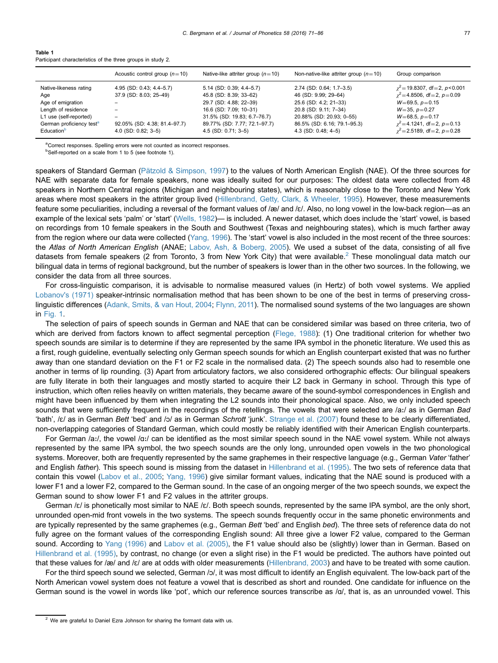<span id="page-6-0"></span>

| Table 1                                                     |  |  |  |
|-------------------------------------------------------------|--|--|--|
| Participant characteristics of the three groups in study 2. |  |  |  |

|                                      | Acoustic control group $(n=10)$ | Native-like attriter group $(n=10)$ | Non-native-like attriter group $(n=10)$ | Group comparison                      |
|--------------------------------------|---------------------------------|-------------------------------------|-----------------------------------------|---------------------------------------|
| Native-likeness rating               | 4.95 (SD: 0.43; 4.4–5.7)        | 5.14 (SD: 0.39; 4.4–5.7)            | 2.74 (SD: 0.64; 1.7-3.5)                | $\chi^2$ = 19.8307, df = 2, p < 0.001 |
| Age                                  | 37.9 (SD: 8.03; 25-49)          | 45.8 (SD: 8.39; 33-62)              | 46 (SD: 9.99; 29-64)                    | $\chi^2$ = 4.8506, df = 2, p = 0.09   |
| Age of emigration                    |                                 | 29.7 (SD: 4.88; 22-39)              | 25.6 (SD: 4.2; 21-33)                   | $W = 69.5, p = 0.15$                  |
| Length of residence                  |                                 | 16.6 (SD: 7.09; 10-31)              | 20.8 (SD: 9.11; 7-34)                   | $W = 35, p = 0.27$                    |
| L1 use (self-reported)               |                                 | 31.5% (SD: 19.83; 6.7–76.7)         | 20.88% (SD: 20.93; 0-55)                | $W=68.5, p=0.17$                      |
| German proficiency test <sup>a</sup> | 92.05% (SD: 4.38; 81.4-97.7)    | 89.77% (SD: 7.77; 72.1-97.7)        | 86.5% (SD: 6.16; 79.1-95.3)             | $\chi^2$ = 4.1241, df = 2, p = 0.13   |
| Education <sup>b</sup>               | $4.0$ (SD: 0.82; 3-5)           | $4.5$ (SD: 0.71; 3-5)               | $4.3$ (SD: 0.48; 4-5)                   | $y^2$ = 2.5189, df = 2, p = 0.28      |

<sup>a</sup>Correct responses. Spelling errors were not counted as incorrect responses.

<sup>b</sup>Self-reported on a scale from 1 to 5 (see footnote 1).

speakers of Standard German (Pä[tzold](#page-14-0) [& Simpson, 1997](#page-14-0)) to the values of North American English (NAE). Of the three sources for NAE with separate data for female speakers, none was ideally suited for our purposes: The oldest data were collected from 48 speakers in Northern Central regions (Michigan and neighbouring states), which is reasonably close to the Toronto and New York areas where most speakers in the attriter group lived [\(Hillenbrand, Getty, Clark,](#page-14-0) [& Wheeler, 1995](#page-14-0)). However, these measurements feature some peculiarities, including a reversal of the formant values of  $\alpha$  and  $\alpha$ . Also, no long vowel in the low-back region—as an example of the lexical sets 'palm' or 'start' ([Wells, 1982\)](#page-15-0)— is included. A newer dataset, which does include the 'start' vowel, is based on recordings from 10 female speakers in the South and Southwest (Texas and neighbouring states), which is much farther away from the region where our data were collected ([Yang, 1996](#page-15-0)). The 'start' vowel is also included in the most recent of the three sources: the Atlas of North American English (ANAE; [Labov, Ash,](#page-14-0) [& Boberg, 2005\)](#page-14-0). We used a subset of the data, consisting of all five datasets from female speakers (2 from Toronto, 3 from New York City) that were available.<sup>2</sup> These monolingual data match our bilingual data in terms of regional background, but the number of speakers is lower than in the other two sources. In the following, we consider the data from all three sources.

For cross-linguistic comparison, it is advisable to normalise measured values (in Hertz) of both vowel systems. We applied [Lobanov's \(1971\)](#page-14-0) speaker-intrinsic normalisation method that has been shown to be one of the best in terms of preserving crosslinguistic differences ([Adank, Smits, & van Hout, 2004;](#page-13-0) [Flynn, 2011](#page-14-0)). The normalised sound systems of the two languages are shown in [Fig. 1](#page-7-0).

The selection of pairs of speech sounds in German and NAE that can be considered similar was based on three criteria, two of which are derived from factors known to affect segmental perception [\(Flege, 1988\)](#page-13-0): (1) One traditional criterion for whether two speech sounds are similar is to determine if they are represented by the same IPA symbol in the phonetic literature. We used this as a first, rough guideline, eventually selecting only German speech sounds for which an English counterpart existed that was no further away than one standard deviation on the F1 or F2 scale in the normalised data. (2) The speech sounds also had to resemble one another in terms of lip rounding. (3) Apart from articulatory factors, we also considered orthographic effects: Our bilingual speakers are fully literate in both their languages and mostly started to acquire their L2 back in Germany in school. Through this type of instruction, which often relies heavily on written materials, they became aware of the sound-symbol correspondences in English and might have been influenced by them when integrating the L2 sounds into their phonological space. Also, we only included speech sounds that were sufficiently frequent in the recordings of the retellings. The vowels that were selected are /aː/ as in German Bad 'bath', /ɛ/ as in German Bett 'bed' and /ɔ/ as in German Schrott 'junk'. [Strange et al. \(2007\)](#page-14-0) found these to be clearly differentiated, non-overlapping categories of Standard German, which could mostly be reliably identified with their American English counterparts.

For German /aː/, the vowel /ɑː/ can be identified as the most similar speech sound in the NAE vowel system. While not always represented by the same IPA symbol, the two speech sounds are the only long, unrounded open vowels in the two phonological systems. Moreover, both are frequently represented by the same graphemes in their respective language (e.g., German Vater 'father' and English father). This speech sound is missing from the dataset in [Hillenbrand et al. \(1995\).](#page-14-0) The two sets of reference data that contain this vowel ([Labov et al., 2005;](#page-14-0) [Yang, 1996](#page-15-0)) give similar formant values, indicating that the NAE sound is produced with a lower F1 and a lower F2, compared to the German sound. In the case of an ongoing merger of the two speech sounds, we expect the German sound to show lower F1 and F2 values in the attriter groups.

German / $\epsilon$ / is phonetically most similar to NAE / $\epsilon$ /. Both speech sounds, represented by the same IPA symbol, are the only short, unrounded open-mid front vowels in the two systems. The speech sounds frequently occur in the same phonetic environments and are typically represented by the same graphemes (e.g., German Bett 'bed' and English bed). The three sets of reference data do not fully agree on the formant values of the corresponding English sound: All three give a lower F2 value, compared to the German sound. According to [Yang \(1996\)](#page-15-0) and [Labov et al. \(2005\),](#page-14-0) the F1 value should also be (slightly) lower than in German. Based on [Hillenbrand et al. \(1995\),](#page-14-0) by contrast, no change (or even a slight rise) in the F1 would be predicted. The authors have pointed out that these values for /æ/ and /ɛ/ are at odds with older measurements ([Hillenbrand, 2003\)](#page-14-0) and have to be treated with some caution.

For the third speech sound we selected, German /ɔ/, it was most difficult to identify an English equivalent. The low-back part of the North American vowel system does not feature a vowel that is described as short and rounded. One candidate for influence on the German sound is the vowel in words like 'pot', which our reference sources transcribe as /ɑ/, that is, as an unrounded vowel. This

<sup>&</sup>lt;sup>2</sup> We are grateful to Daniel Ezra Johnson for sharing the formant data with us.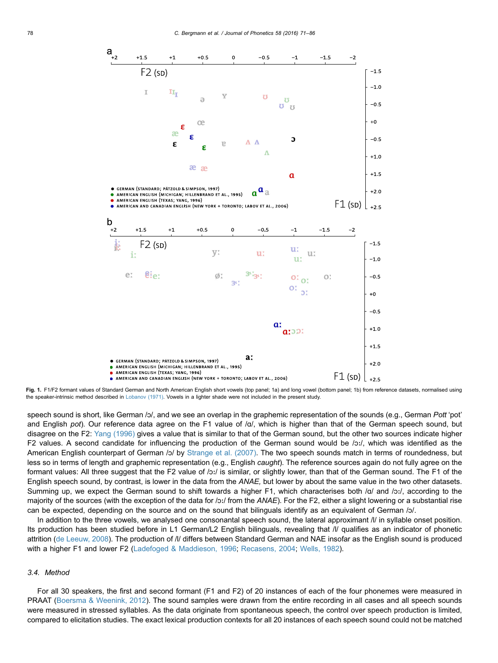<span id="page-7-0"></span>

Fig. 1. F1/F2 formant values of Standard German and North American English short vowels (top panel; 1a) and long vowel (bottom panel; 1b) from reference datasets, normalised using the speaker-intrinsic method described in [Lobanov \(1971\)](#page-14-0). Vowels in a lighter shade were not included in the present study

speech sound is short, like German /ɔ/, and we see an overlap in the graphemic representation of the sounds (e.g., German Pott 'pot' and English pot). Our reference data agree on the F1 value of  $/a/$ , which is higher than that of the German speech sound, but disagree on the F2: [Yang \(1996\)](#page-15-0) gives a value that is similar to that of the German sound, but the other two sources indicate higher F2 values. A second candidate for influencing the production of the German sound would be /ɔː/, which was identified as the American English counterpart of German /ɔ/ by [Strange et al. \(2007\)](#page-14-0). The two speech sounds match in terms of roundedness, but less so in terms of length and graphemic representation (e.g., English caught). The reference sources again do not fully agree on the formant values: All three suggest that the F2 value of /ɔː/ is similar, or slightly lower, than that of the German sound. The F1 of the English speech sound, by contrast, is lower in the data from the ANAE, but lower by about the same value in the two other datasets. Summing up, we expect the German sound to shift towards a higher F1, which characterises both /ɑ/ and /ɔː/, according to the majority of the sources (with the exception of the data for /ɔː/ from the ANAE). For the F2, either a slight lowering or a substantial rise can be expected, depending on the source and on the sound that bilinguals identify as an equivalent of German /ɔ/.

In addition to the three vowels, we analysed one consonantal speech sound, the lateral approximant /l/ in syllable onset position. Its production has been studied before in L1 German/L2 English bilinguals, revealing that /l/ qualifies as an indicator of phonetic attrition [\(de Leeuw, 2008\)](#page-13-0). The production of /l/ differs between Standard German and NAE insofar as the English sound is produced with a higher F1 and lower F2 ([Ladefoged & Maddieson, 1996;](#page-14-0) [Recasens, 2004](#page-14-0); [Wells, 1982](#page-15-0)).

# 3.4. Method

For all 30 speakers, the first and second formant (F1 and F2) of 20 instances of each of the four phonemes were measured in PRAAT ([Boersma](#page-13-0) [& Weenink, 2012\)](#page-13-0). The sound samples were drawn from the entire recording in all cases and all speech sounds were measured in stressed syllables. As the data originate from spontaneous speech, the control over speech production is limited, compared to elicitation studies. The exact lexical production contexts for all 20 instances of each speech sound could not be matched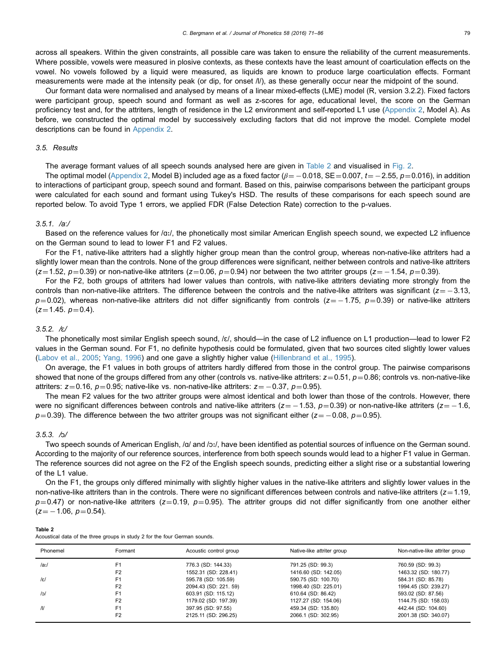across all speakers. Within the given constraints, all possible care was taken to ensure the reliability of the current measurements. Where possible, vowels were measured in plosive contexts, as these contexts have the least amount of coarticulation effects on the vowel. No vowels followed by a liquid were measured, as liquids are known to produce large coarticulation effects. Formant measurements were made at the intensity peak (or dip, for onset /l/), as these generally occur near the midpoint of the sound.

Our formant data were normalised and analysed by means of a linear mixed-effects (LME) model (R, version 3.2.2). Fixed factors were participant group, speech sound and formant as well as z-scores for age, educational level, the score on the German proficiency test and, for the attriters, length of residence in the L2 environment and self-reported L1 use [\(Appendix 2](#page-13-0), Model A). As before, we constructed the optimal model by successively excluding factors that did not improve the model. Complete model descriptions can be found in [Appendix 2](#page-13-0).

#### 3.5. Results

The average formant values of all speech sounds analysed here are given in Table 2 and visualised in [Fig. 2](#page-9-0).

The optimal model [\(Appendix 2,](#page-13-0) Model B) included age as a fixed factor ( $\beta$   $=$   $-$  0.018, SE  $=$  0.007,  $t$   $=$   $-$  2.55,  $p$   $=$  0.016), in addition to interactions of participant group, speech sound and formant. Based on this, pairwise comparisons between the participant groups were calculated for each sound and formant using Tukey's HSD. The results of these comparisons for each speech sound are reported below. To avoid Type 1 errors, we applied FDR (False Detection Rate) correction to the p-values.

# 3.5.1. /aː/

Based on the reference values for /ɑː/, the phonetically most similar American English speech sound, we expected L2 influence on the German sound to lead to lower F1 and F2 values.

For the F1, native-like attriters had a slightly higher group mean than the control group, whereas non-native-like attriters had a slightly lower mean than the controls. None of the group differences were significant, neither between controls and native-like attriters (z=1.52,  $p=0.39$ ) or non-native-like attriters (z=0.06,  $p=0.94$ ) nor between the two attriter groups (z= -1.54,  $p=0.39$ ).

For the F2, both groups of attriters had lower values than controls, with native-like attriters deviating more strongly from the controls than non-native-like attriters. The difference between the controls and the native-like attriters was significant ( $z = -3.13$ ,  $p=0.02$ ), whereas non-native-like attriters did not differ significantly from controls (z=  $-1.75$ ,  $p=0.39$ ) or native-like attriters  $(z=1.45. p=0.4).$ 

# 3.5.2. /ɛ/

The phonetically most similar English speech sound, /ɛ/, should—in the case of L2 influence on L1 production—lead to lower F2 values in the German sound. For F1, no definite hypothesis could be formulated, given that two sources cited slightly lower values [\(Labov et al., 2005](#page-14-0); [Yang, 1996](#page-15-0)) and one gave a slightly higher value [\(Hillenbrand et al., 1995](#page-14-0)).

On average, the F1 values in both groups of attriters hardly differed from those in the control group. The pairwise comparisons showed that none of the groups differed from any other (controls vs. native-like attriters:  $z=0.51$ ,  $p=0.86$ ; controls vs. non-native-like attriters:  $z=0.16$ ,  $p=0.95$ ; native-like vs. non-native-like attriters:  $z=-0.37$ ,  $p=0.95$ ).

The mean F2 values for the two attriter groups were almost identical and both lower than those of the controls. However, there were no significant differences between controls and native-like attriters ( $z=-1.53$ ,  $p=0.39$ ) or non-native-like attriters ( $z=-1.6$ ,  $p$ =0.39). The difference between the two attriter groups was not significant either (z= -0.08,  $p$ =0.95).

#### 3.5.3. /ɔ/

Table 2

Acoustical data of the three groups in study 2 for the four German sounds.

Two speech sounds of American English, /ɑ/ and /ɔː/, have been identified as potential sources of influence on the German sound. According to the majority of our reference sources, interference from both speech sounds would lead to a higher F1 value in German. The reference sources did not agree on the F2 of the English speech sounds, predicting either a slight rise or a substantial lowering of the L1 value.

On the F1, the groups only differed minimally with slightly higher values in the native-like attriters and slightly lower values in the non-native-like attriters than in the controls. There were no significant differences between controls and native-like attriters  $(z=1.19,$  $p=0.47$ ) or non-native-like attriters (z=0.19, p=0.95). The attriter groups did not differ significantly from one another either  $(z = -1.06, p = 0.54).$ 

| Phonemel      | Formant        | Acoustic control group | Native-like attriter group | Non-native-like attriter group |  |  |  |  |
|---------------|----------------|------------------------|----------------------------|--------------------------------|--|--|--|--|
| /ax/          | F1             | 776.3 (SD: 144.33)     | 791.25 (SD: 99.3)          | 760.59 (SD: 99.3)              |  |  |  |  |
|               | F <sub>2</sub> | 1552.31 (SD: 228.41)   | 1416.60 (SD: 142.05)       | 1463.32 (SD: 180.77)           |  |  |  |  |
| $ \epsilon $  | F1             | 595.78 (SD: 105.59)    | 590.75 (SD: 100.70)        | 584.31 (SD: 85.78)             |  |  |  |  |
|               | F <sub>2</sub> | 2094.43 (SD: 221. 59)  | 1998.40 (SD: 225.01)       | 1994.45 (SD: 239.27)           |  |  |  |  |
| /o/           | F1             | 603.91 (SD: 115.12)    | 610.64 (SD: 86.42)         | 593.02 (SD: 87.56)             |  |  |  |  |
|               | F <sub>2</sub> | 1179.02 (SD: 197.39)   | 1127.27 (SD: 154.06)       | 1144.75 (SD: 158.03)           |  |  |  |  |
| $\mathcal{U}$ | F <sub>1</sub> | 397.95 (SD: 97.55)     | 459.34 (SD: 135.80)        | 442.44 (SD: 104.60)            |  |  |  |  |
|               | F <sub>2</sub> | 2125.11 (SD: 296.25)   | 2066.1 (SD: 302.95)        | 2001.38 (SD: 340.07)           |  |  |  |  |
|               |                |                        |                            |                                |  |  |  |  |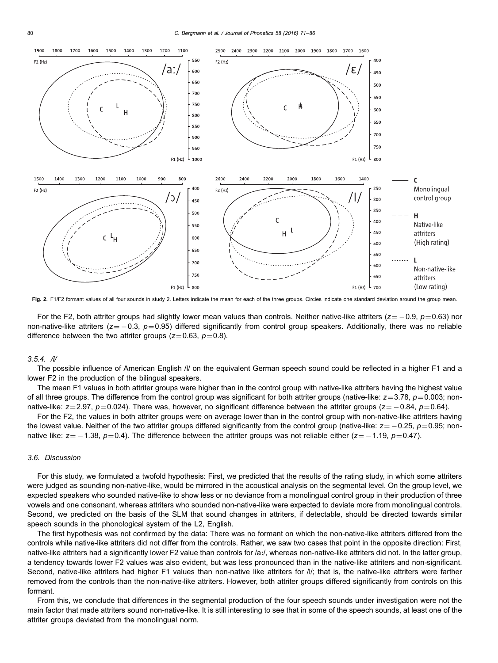<span id="page-9-0"></span>

Fig. 2. F1/F2 formant values of all four sounds in study 2. Letters indicate the mean for each of the three groups. Circles indicate one standard deviation around the group mean.

For the F2, both attriter groups had slightly lower mean values than controls. Neither native-like attriters (z=  $-0.9$ ,  $p=0.63$ ) nor non-native-like attriters ( $z = -0.3$ ,  $p = 0.95$ ) differed significantly from control group speakers. Additionally, there was no reliable difference between the two attriter groups ( $z=0.63$ ,  $p=0.8$ ).

#### $3.5.4.$  //

The possible influence of American English /l/ on the equivalent German speech sound could be reflected in a higher F1 and a lower F2 in the production of the bilingual speakers.

The mean F1 values in both attriter groups were higher than in the control group with native-like attriters having the highest value of all three groups. The difference from the control group was significant for both attriter groups (native-like:  $z=3.78$ ,  $p=0.003$ ; nonnative-like: z=2.97, p=0.024). There was, however, no significant difference between the attriter groups (z=  $-0.84$ , p=0.64).

For the F2, the values in both attriter groups were on average lower than in the control group with non-native-like attriters having the lowest value. Neither of the two attriter groups differed significantly from the control group (native-like:  $z = -0.25$ ,  $p = 0.95$ ; nonnative like: z= –1.38,  $p$ =0.4). The difference between the attriter groups was not reliable either (z= –1.19,  $p$ =0.47).

# 3.6. Discussion

For this study, we formulated a twofold hypothesis: First, we predicted that the results of the rating study, in which some attriters were judged as sounding non-native-like, would be mirrored in the acoustical analysis on the segmental level. On the group level, we expected speakers who sounded native-like to show less or no deviance from a monolingual control group in their production of three vowels and one consonant, whereas attriters who sounded non-native-like were expected to deviate more from monolingual controls. Second, we predicted on the basis of the SLM that sound changes in attriters, if detectable, should be directed towards similar speech sounds in the phonological system of the L2, English.

The first hypothesis was not confirmed by the data: There was no formant on which the non-native-like attriters differed from the controls while native-like attriters did not differ from the controls. Rather, we saw two cases that point in the opposite direction: First, native-like attriters had a significantly lower F2 value than controls for /aː/, whereas non-native-like attriters did not. In the latter group, a tendency towards lower F2 values was also evident, but was less pronounced than in the native-like attriters and non-significant. Second, native-like attriters had higher F1 values than non-native like attriters for /l/; that is, the native-like attriters were farther removed from the controls than the non-native-like attriters. However, both attriter groups differed significantly from controls on this formant.

From this, we conclude that differences in the segmental production of the four speech sounds under investigation were not the main factor that made attriters sound non-native-like. It is still interesting to see that in some of the speech sounds, at least one of the attriter groups deviated from the monolingual norm.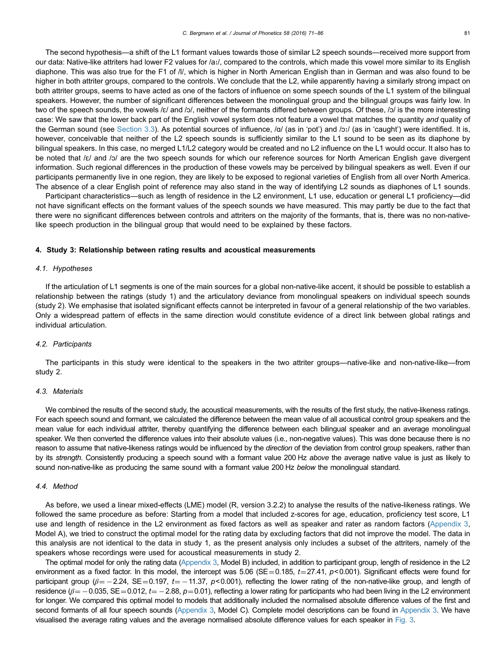<span id="page-10-0"></span>The second hypothesis—a shift of the L1 formant values towards those of similar L2 speech sounds—received more support from our data: Native-like attriters had lower F2 values for /a:/, compared to the controls, which made this vowel more similar to its English diaphone. This was also true for the F1 of /l/, which is higher in North American English than in German and was also found to be higher in both attriter groups, compared to the controls. We conclude that the L2, while apparently having a similarly strong impact on both attriter groups, seems to have acted as one of the factors of influence on some speech sounds of the L1 system of the bilingual speakers. However, the number of significant differences between the monolingual group and the bilingual groups was fairly low. In two of the speech sounds, the vowels /ɛ/ and /ɔ/, neither of the formants differed between groups. Of these, /ɔ/ is the more interesting case: We saw that the lower back part of the English vowel system does not feature a vowel that matches the quantity and quality of the German sound (see [Section 3.3](#page-5-0)). As potential sources of influence, /a/ (as in 'pot') and /ɔː/ (as in 'caught') were identified. It is, however, conceivable that neither of the L2 speech sounds is sufficiently similar to the L1 sound to be seen as its diaphone by bilingual speakers. In this case, no merged L1/L2 category would be created and no L2 influence on the L1 would occur. It also has to be noted that /ɛ/ and /ɔ/ are the two speech sounds for which our reference sources for North American English gave divergent information. Such regional differences in the production of these vowels may be perceived by bilingual speakers as well. Even if our participants permanently live in one region, they are likely to be exposed to regional varieties of English from all over North America. The absence of a clear English point of reference may also stand in the way of identifying L2 sounds as diaphones of L1 sounds.

Participant characteristics—such as length of residence in the L2 environment, L1 use, education or general L1 proficiency—did not have significant effects on the formant values of the speech sounds we have measured. This may partly be due to the fact that there were no significant differences between controls and attriters on the majority of the formants, that is, there was no non-nativelike speech production in the bilingual group that would need to be explained by these factors.

#### 4. Study 3: Relationship between rating results and acoustical measurements

#### 4.1. Hypotheses

If the articulation of L1 segments is one of the main sources for a global non-native-like accent, it should be possible to establish a relationship between the ratings (study 1) and the articulatory deviance from monolingual speakers on individual speech sounds (study 2). We emphasise that isolated significant effects cannot be interpreted in favour of a general relationship of the two variables. Only a widespread pattern of effects in the same direction would constitute evidence of a direct link between global ratings and individual articulation.

#### 4.2. Participants

The participants in this study were identical to the speakers in the two attriter groups—native-like and non-native-like—from study 2.

# 4.3. Materials

We combined the results of the second study, the acoustical measurements, with the results of the first study, the native-likeness ratings. For each speech sound and formant, we calculated the difference between the mean value of all acoustical control group speakers and the mean value for each individual attriter, thereby quantifying the difference between each bilingual speaker and an average monolingual speaker. We then converted the difference values into their absolute values (i.e., non-negative values). This was done because there is no reason to assume that native-likeness ratings would be influenced by the direction of the deviation from control group speakers, rather than by its strength. Consistently producing a speech sound with a formant value 200 Hz above the average native value is just as likely to sound non-native-like as producing the same sound with a formant value 200 Hz below the monolingual standard.

# 4.4. Method

As before, we used a linear mixed-effects (LME) model (R, version 3.2.2) to analyse the results of the native-likeness ratings. We followed the same procedure as before: Starting from a model that included z-scores for age, education, proficiency test score, L1 use and length of residence in the L2 environment as fixed factors as well as speaker and rater as random factors ([Appendix 3](#page-13-0), Model A), we tried to construct the optimal model for the rating data by excluding factors that did not improve the model. The data in this analysis are not identical to the data in study 1, as the present analysis only includes a subset of the attriters, namely of the speakers whose recordings were used for acoustical measurements in study 2.

The optimal model for only the rating data ([Appendix 3](#page-13-0), Model B) included, in addition to participant group, length of residence in the L2 environment as a fixed factor. In this model, the intercept was 5.06 (SE = 0.185,  $t = 27.41$ ,  $p < 0.001$ ). Significant effects were found for participant group ( $\beta$  =  $-$  2.24, SE=0.197, t =  $-$  11.37, p<0.001), reflecting the lower rating of the non-native-like group, and length of residence ( $\beta$  = -0.035, SE = 0.012, t = -2.88, p=0.01), reflecting a lower rating for participants who had been living in the L2 environment for longer. We compared this optimal model to models that additionally included the normalised absolute difference values of the first and second formants of all four speech sounds [\(Appendix 3,](#page-13-0) Model C). Complete model descriptions can be found in [Appendix 3](#page-13-0). We have visualised the average rating values and the average normalised absolute difference values for each speaker in [Fig. 3.](#page-11-0)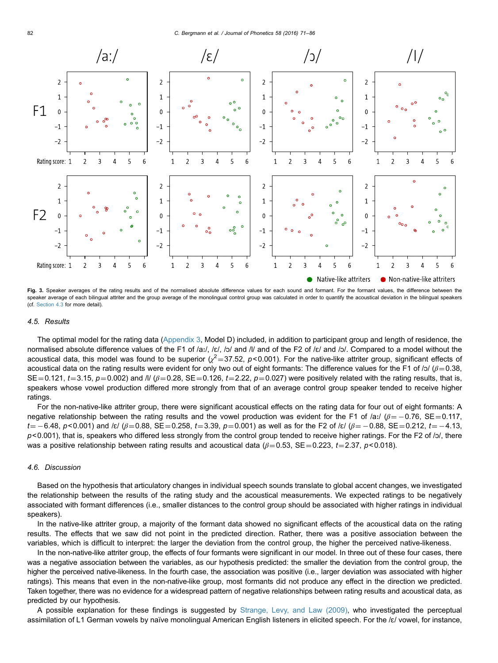<span id="page-11-0"></span>

Fig. 3. Speaker averages of the rating results and of the normalised absolute difference values for each sound and formant. For the formant values, the difference between the speaker average of each bilingual attriter and the group average of the monolingual control group was calculated in order to quantify the acoustical deviation in the bilingual speakers (cf. [Section 4.3](#page-10-0) for more detail).

#### 4.5. Results

The optimal model for the rating data [\(Appendix 3,](#page-13-0) Model D) included, in addition to participant group and length of residence, the normalised absolute difference values of the F1 of /a:/, /ɛ/, /ɔ/ and /l/ and of the F2 of /ɛ/ and /ɔ/. Compared to a model without the acoustical data, this model was found to be superior  $(x^2 = 37.52, p < 0.001)$ . For the native-like attriter group, significant effects of acoustical data on the rating results were evident for only two out of eight formants: The difference values for the F1 of /ɔ/ ( $\beta$  = 0.38, SE = 0.121, t = 3.15, p = 0.002) and /l/ ( $\beta$  = 0.28, SE = 0.126, t = 2.22, p = 0.027) were positively related with the rating results, that is, speakers whose vowel production differed more strongly from that of an average control group speaker tended to receive higher ratings.

For the non-native-like attriter group, there were significant acoustical effects on the rating data for four out of eight formants: A negative relationship between the rating results and the vowel production was evident for the F1 of /a:/ ( $\beta$ = -0.76, SE=0.117,  $t{=}-6.48$ ,  $p{<}0.001$ ) and /ɛ/ ( $\beta{=}0.88$ , SE ${=0.258}$ ,  $t{=}3.39$ ,  $p{=}0.001$ ) as well as for the F2 of /ɛ/ ( $\beta{=}-0.88$ , SE ${=0.212}$ ,  $t{=}-4.13$ ,  $p$ <0.001), that is, speakers who differed less strongly from the control group tended to receive higher ratings. For the F2 of /ɔ/, there was a positive relationship between rating results and acoustical data ( $\beta$ =0.53, SE=0.223, t=2.37, p<0.018).

# 4.6. Discussion

Based on the hypothesis that articulatory changes in individual speech sounds translate to global accent changes, we investigated the relationship between the results of the rating study and the acoustical measurements. We expected ratings to be negatively associated with formant differences (i.e., smaller distances to the control group should be associated with higher ratings in individual speakers).

In the native-like attriter group, a majority of the formant data showed no significant effects of the acoustical data on the rating results. The effects that we saw did not point in the predicted direction. Rather, there was a positive association between the variables, which is difficult to interpret: the larger the deviation from the control group, the higher the perceived native-likeness.

In the non-native-like attriter group, the effects of four formants were significant in our model. In three out of these four cases, there was a negative association between the variables, as our hypothesis predicted: the smaller the deviation from the control group, the higher the perceived native-likeness. In the fourth case, the association was positive (i.e., larger deviation was associated with higher ratings). This means that even in the non-native-like group, most formants did not produce any effect in the direction we predicted. Taken together, there was no evidence for a widespread pattern of negative relationships between rating results and acoustical data, as predicted by our hypothesis.

A possible explanation for these findings is suggested by [Strange, Levy, and Law \(2009\),](#page-14-0) who investigated the perceptual assimilation of L1 German vowels by naïve monolingual American English listeners in elicited speech. For the /ɛ/ vowel, for instance,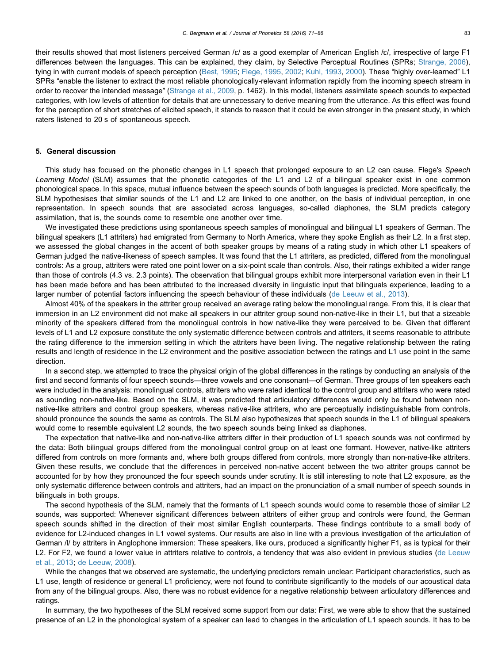their results showed that most listeners perceived German /ɛ/ as a good exemplar of American English /ɛ/, irrespective of large F1 differences between the languages. This can be explained, they claim, by Selective Perceptual Routines (SPRs; [Strange, 2006](#page-14-0)), tying in with current models of speech perception [\(Best, 1995](#page-13-0); [Flege, 1995](#page-13-0), [2002;](#page-14-0) [Kuhl, 1993,](#page-14-0) [2000](#page-14-0)). These "highly over-learned" L1 SPRs "enable the listener to extract the most reliable phonologically-relevant information rapidly from the incoming speech stream in order to recover the intended message" ([Strange et al., 2009](#page-14-0), p. 1462). In this model, listeners assimilate speech sounds to expected categories, with low levels of attention for details that are unnecessary to derive meaning from the utterance. As this effect was found for the perception of short stretches of elicited speech, it stands to reason that it could be even stronger in the present study, in which raters listened to 20 s of spontaneous speech.

# 5. General discussion

This study has focused on the phonetic changes in L1 speech that prolonged exposure to an L2 can cause. Flege's Speech Learning Model (SLM) assumes that the phonetic categories of the L1 and L2 of a bilingual speaker exist in one common phonological space. In this space, mutual influence between the speech sounds of both languages is predicted. More specifically, the SLM hypothesises that similar sounds of the L1 and L2 are linked to one another, on the basis of individual perception, in one representation. In speech sounds that are associated across languages, so-called diaphones, the SLM predicts category assimilation, that is, the sounds come to resemble one another over time.

We investigated these predictions using spontaneous speech samples of monolingual and bilingual L1 speakers of German. The bilingual speakers (L1 attriters) had emigrated from Germany to North America, where they spoke English as their L2. In a first step, we assessed the global changes in the accent of both speaker groups by means of a rating study in which other L1 speakers of German judged the native-likeness of speech samples. It was found that the L1 attriters, as predicted, differed from the monolingual controls: As a group, attriters were rated one point lower on a six-point scale than controls. Also, their ratings exhibited a wider range than those of controls (4.3 vs. 2.3 points). The observation that bilingual groups exhibit more interpersonal variation even in their L1 has been made before and has been attributed to the increased diversity in linguistic input that bilinguals experience, leading to a larger number of potential factors influencing the speech behaviour of these individuals ([de Leeuw et al., 2013](#page-13-0)).

Almost 40% of the speakers in the attriter group received an average rating below the monolingual range. From this, it is clear that immersion in an L2 environment did not make all speakers in our attriter group sound non-native-like in their L1, but that a sizeable minority of the speakers differed from the monolingual controls in how native-like they were perceived to be. Given that different levels of L1 and L2 exposure constitute the only systematic difference between controls and attriters, it seems reasonable to attribute the rating difference to the immersion setting in which the attriters have been living. The negative relationship between the rating results and length of residence in the L2 environment and the positive association between the ratings and L1 use point in the same direction.

In a second step, we attempted to trace the physical origin of the global differences in the ratings by conducting an analysis of the first and second formants of four speech sounds—three vowels and one consonant—of German. Three groups of ten speakers each were included in the analysis: monolingual controls, attriters who were rated identical to the control group and attriters who were rated as sounding non-native-like. Based on the SLM, it was predicted that articulatory differences would only be found between nonnative-like attriters and control group speakers, whereas native-like attriters, who are perceptually indistinguishable from controls, should pronounce the sounds the same as controls. The SLM also hypothesizes that speech sounds in the L1 of bilingual speakers would come to resemble equivalent L2 sounds, the two speech sounds being linked as diaphones.

The expectation that native-like and non-native-like attriters differ in their production of L1 speech sounds was not confirmed by the data: Both bilingual groups differed from the monolingual control group on at least one formant. However, native-like attriters differed from controls on more formants and, where both groups differed from controls, more strongly than non-native-like attriters. Given these results, we conclude that the differences in perceived non-native accent between the two attriter groups cannot be accounted for by how they pronounced the four speech sounds under scrutiny. It is still interesting to note that L2 exposure, as the only systematic difference between controls and attriters, had an impact on the pronunciation of a small number of speech sounds in bilinguals in both groups.

The second hypothesis of the SLM, namely that the formants of L1 speech sounds would come to resemble those of similar L2 sounds, was supported: Whenever significant differences between attriters of either group and controls were found, the German speech sounds shifted in the direction of their most similar English counterparts. These findings contribute to a small body of evidence for L2-induced changes in L1 vowel systems. Our results are also in line with a previous investigation of the articulation of German /l/ by attriters in Anglophone immersion: These speakers, like ours, produced a significantly higher F1, as is typical for their L2. For F2, we found a lower value in attriters relative to controls, a tendency that was also evident in previous studies [\(de Leeuw](#page-13-0) [et al., 2013;](#page-13-0) [de Leeuw, 2008](#page-13-0)).

While the changes that we observed are systematic, the underlying predictors remain unclear: Participant characteristics, such as L1 use, length of residence or general L1 proficiency, were not found to contribute significantly to the models of our acoustical data from any of the bilingual groups. Also, there was no robust evidence for a negative relationship between articulatory differences and ratings.

In summary, the two hypotheses of the SLM received some support from our data: First, we were able to show that the sustained presence of an L2 in the phonological system of a speaker can lead to changes in the articulation of L1 speech sounds. It has to be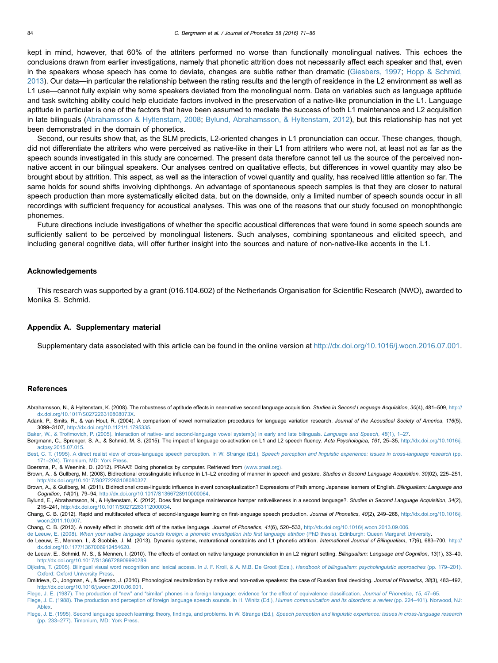<span id="page-13-0"></span>kept in mind, however, that 60% of the attriters performed no worse than functionally monolingual natives. This echoes the conclusions drawn from earlier investigations, namely that phonetic attrition does not necessarily affect each speaker and that, even in the speakers whose speech has come to deviate, changes are subtle rather than dramatic ([Giesbers, 1997](#page-14-0); [Hopp](#page-14-0) [& Schmid,](#page-14-0) [2013](#page-14-0)). Our data—in particular the relationship between the rating results and the length of residence in the L2 environment as well as L1 use—cannot fully explain why some speakers deviated from the monolingual norm. Data on variables such as language aptitude and task switching ability could help elucidate factors involved in the preservation of a native-like pronunciation in the L1. Language aptitude in particular is one of the factors that have been assumed to mediate the success of both L1 maintenance and L2 acquisition in late bilinguals (Abrahamsson & Hyltenstam, 2008; Bylund, Abrahamsson, & Hyltenstam, 2012), but this relationship has not yet been demonstrated in the domain of phonetics.

Second, our results show that, as the SLM predicts, L2-oriented changes in L1 pronunciation can occur. These changes, though, did not differentiate the attriters who were perceived as native-like in their L1 from attriters who were not, at least not as far as the speech sounds investigated in this study are concerned. The present data therefore cannot tell us the source of the perceived nonnative accent in our bilingual speakers. Our analyses centred on qualitative effects, but differences in vowel quantity may also be brought about by attrition. This aspect, as well as the interaction of vowel quantity and quality, has received little attention so far. The same holds for sound shifts involving diphthongs. An advantage of spontaneous speech samples is that they are closer to natural speech production than more systematically elicited data, but on the downside, only a limited number of speech sounds occur in all recordings with sufficient frequency for acoustical analyses. This was one of the reasons that our study focused on monophthongic phonemes.

Future directions include investigations of whether the specific acoustical differences that were found in some speech sounds are sufficiently salient to be perceived by monolingual listeners. Such analyses, combining spontaneous and elicited speech, and including general cognitive data, will offer further insight into the sources and nature of non-native-like accents in the L1.

# Acknowledgements

This research was supported by a grant (016.104.602) of the Netherlands Organisation for Scientific Research (NWO), awarded to Monika S. Schmid.

#### Appendix A. Supplementary material

Supplementary data associated with this article can be found in the online version at [http://dx.doi.org/10.1016/j.wocn.2016.07.001](dx.doi.org/http://dx.doi.org/10.1016/j.wocn.2016.07.001).

#### References

Abrahamsson, N., & Hyltenstam, K. (2008). The robustness of aptitude effects in near-native second language acquisition. Studies in Second Language Acquisition, 30(4), 481-509, [http://](http://dx.doi.org/10.1017/S027226310808073X) [dx.doi.org/10.1017/S027226310808073X](http://dx.doi.org/10.1017/S027226310808073X).

Adank, P., Smits, R., & van Hout, R. (2004). A comparison of vowel normalization procedures for language variation research. Journal of the Acoustical Society of America, 116(5), 3099–3107, [http://dx.doi.org/10.1121/1.1795335.](http://dx.doi.org/10.1121/1.1795335)

Baker, W., & Trofi[movich, P. \(2005\). Interaction of native- and second-language vowel system\(s\) in early and late bilinguals.](http://refhub.elsevier.com/S0095-4470(16)30027-4/sbref3) Language and Speech, 48(1), 1–27.

Bergmann, C., Sprenger, S. A., & Schmid, M. S. (2015). The impact of language co-activation on L1 and L2 speech fluency. Acta Psychologica, 161, 25-35, [http://dx.doi.org/10.1016/j.](http://dx.doi.org/10.1016/j.actpsy.2015.07.015) [actpsy.2015.07.015](http://dx.doi.org/10.1016/j.actpsy.2015.07.015).

[Best, C. T. \(1995\). A direct realist view of cross-language speech perception. In W. Strange \(Ed.\),](http://refhub.elsevier.com/S0095-4470(16)30027-4/sbref5) Speech perception and linguistic experience: issues in cross-language research (pp. 171–[204\). Timonium, MD: York Press.](http://refhub.elsevier.com/S0095-4470(16)30027-4/sbref5)

Boersma, P., & Weenink, D. (2012). PRAAT: Doing phonetics by computer. Retrieved from 〈[www.praat.org](http://www.praat.org)〉.

Brown, A., & Gullberg, M. (2008). Bidirectional crosslinguistic influence in L1-L2 encoding of manner in speech and gesture. Studies in Second Language Acquisition, 30(02), 225-251, <http://dx.doi.org/10.1017/S0272263108080327>.

Brown, A., & Gullberg, M. (2011). Bidirectional cross-linguistic influence in event conceptualization? Expressions of Path among Japanese learners of English. Bilingualism: Language and Cognition, 14(01), 79–94, [http://dx.doi.org/10.1017/S1366728910000064.](http://dx.doi.org/10.1017/S1366728910000064)

Bylund, E., Abrahamsson, N., & Hyltenstam, K. (2012). Does first language maintenance hamper nativelikeness in a second language?. Studies in Second Language Acquisition, 34(2), 215–241, <http://dx.doi.org/10.1017/S0272263112000034>.

Chang, C. B. (2012). Rapid and multifaceted effects of second-language learning on first-language speech production. Journal of Phonetics, 40(2), 249–268, [http://dx.doi.org/10.1016/j.](http://dx.doi.org/10.1016/j.wocn.2011.10.007) [wocn.2011.10.007.](http://dx.doi.org/10.1016/j.wocn.2011.10.007)

Chang, C. B. (2013). A novelty effect in phonetic drift of the native language. Journal of Phonetics, 41(6), 520–533, <http://dx.doi.org/10.1016/j.wocn.2013.09.006>.

de Leeuw, E. (2008). [When your native language sounds foreign: a phonetic investigation into](http://refhub.elsevier.com/S0095-4470(16)30027-4/sbref11) first language attrition (PhD thesis). Edinburgh: Queen Margaret University de Leeuw, E., Mennen, I., & Scobbie, J. M. (2013). Dynamic systems, maturational constraints and L1 phonetic attrition. International Journal of Bilingualism, 17(6), 683-700, [http://](http://dx.doi.org/10.1177/1367006912454620) [dx.doi.org/10.1177/1367006912454620.](http://dx.doi.org/10.1177/1367006912454620)

de Leeuw, E., Schmid, M. S., & Mennen, I. (2010). The effects of contact on native language pronunciation in an L2 migrant setting. Bilingualism: Language and Cognition, 13(1), 33-40, <http://dx.doi.org/10.1017/S1366728909990289>.

[Dijkstra, T. \(2005\). Bilingual visual word recognition and lexical access. In J. F. Kroll, & A. M.B. De Groot \(Eds.\),](http://refhub.elsevier.com/S0095-4470(16)30027-4/sbref14) Handbook of bilingualism: psycholinguistic approaches (pp. 179-201). [Oxford: Oxford University Press.](http://refhub.elsevier.com/S0095-4470(16)30027-4/sbref14)

Dmitrieva, O., Jongman, A., & Sereno, J. (2010). Phonological neutralization by native and non-native speakers: the case of Russian final devoicing. Journal of Phonetics, 38(3), 483-492, <http://dx.doi.org/10.1016/j.wocn.2010.06.001>.

Flege, J. E. (1987). The production of "new" and "similar" [phones in a foreign language: evidence for the effect of equivalence classi](http://refhub.elsevier.com/S0095-4470(16)30027-4/sbref16)fication. Journal of Phonetics, 15, 47–65.

[Flege, J. E. \(1988\). The production and perception of foreign language speech sounds. In H. Winitz \(Ed.\),](http://refhub.elsevier.com/S0095-4470(16)30027-4/sbref17) Human communication and its disorders: a review (pp. 224-401). Norwood, NJ: [Ablex.](http://refhub.elsevier.com/S0095-4470(16)30027-4/sbref17)

Flege, J. E. (1995). Second language speech learning: theory, findings, and problems. In W. Strange (Ed.), [Speech perception and linguistic experience: issues in cross-language research](http://refhub.elsevier.com/S0095-4470(16)30027-4/sbref18) (pp. 233–[277\). Timonium, MD: York Press.](http://refhub.elsevier.com/S0095-4470(16)30027-4/sbref18)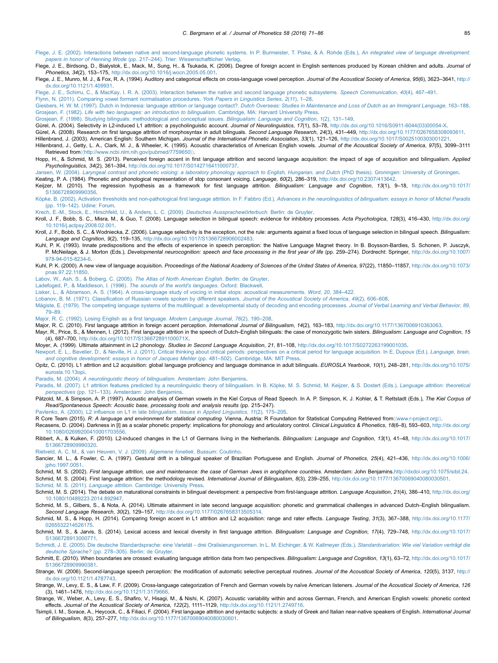- <span id="page-14-0"></span>[Flege, J. E. \(2002\). Interactions between native and second-language phonetic systems. In P. Burmeister, T. Piske, & A. Rohde \(Eds.\),](http://refhub.elsevier.com/S0095-4470(16)30027-4/sbref19) An integrated view of language development: papers in honor of Henning Wode (pp. 217–[244\). Trier: Wissenschaftlicher Verlag.](http://refhub.elsevier.com/S0095-4470(16)30027-4/sbref19)
- Flege, J. E., Birdsong, D., Bialystok, E., Mack, M., Sung, H., & Tsukada, K. (2006). Degree of foreign accent in English sentences produced by Korean children and adults. Journal of Phonetics, 34(2), 153–175, <http://dx.doi.org/10.1016/j.wocn.2005.05.001>.
- Flege, J. E., Munro, M. J., & Fox, R. A. (1994). Auditory and categorical effects on cross-language vowel perception. Journal of the Acoustical Society of America, 95(6), 3623-3641, [http://](http://dx.doi.org/10.1121/1.409931) [dx.doi.org/10.1121/1.409931](http://dx.doi.org/10.1121/1.409931).
- [Flege, J. E., Schirru, C., & MacKay, I. R. A. \(2003\). Interaction between the native and second language phonetic subsystems.](http://refhub.elsevier.com/S0095-4470(16)30027-4/sbref22) Speech Communication, 40(4), 467–491.
- [Flynn, N. \(2011\). Comparing vowel formant normalisation procedures.](http://refhub.elsevier.com/S0095-4470(16)30027-4/sbref23) York Papers in Linguistics Series, 2(11), 1–28.
- Giesbers, H. W. M. (1997). Dutch in Indonesia: language attrition or language contact?. [Dutch Overseas: Studies in Maintenance and Loss of Dutch as an Immigrant Language](http://refhub.elsevier.com/S0095-4470(16)30027-4/sbref24), 163-188. Grosjean, F. (1982). [Life with two languages: an introduction to bilingualism](http://refhub.elsevier.com/S0095-4470(16)30027-4/sbref25). Cambridge, MA: Harvard University Press.
- [Grosjean, F. \(1998\). Studying bilinguals: methodological and conceptual issues.](http://refhub.elsevier.com/S0095-4470(16)30027-4/sbref26) Bilingualism: Language and Cognition, 1(2), 131–149.
- Gürel, A. (2004). Selectivity in L2-induced L1 attrition: a psycholinguistic account. Journal of Neurolinguistics, 17(1), 53-78, [http://dx.doi.org/10.1016/S0911-6044\(03\)00054-X](http://dx.doi.org/10.1016/S0911-6044(03)00054-X).
- Gürel, A. (2008). Research on first language attrition of morphosyntax in adult bilinguals. Second Language Research, 24(3), 431-449, <http://dx.doi.org/10.1177/0267658308093611>. Hillenbrand, J. (2003). American English: Southern Michigan. Journal of the International Phonetic Association, 33(1), 121-126, [http://dx.doi.org/10.1017/S0025100303001221.](http://dx.doi.org/10.1017/S0025100303001221)
- Hillenbrand, J., Getty, L. A., Clark, M. J., & Wheeler, K. (1995). Acoustic characteristics of American English vowels. Journal of the Acoustical Society of America, 97(5), 3099-3111 Retrieved from〈〈<http://www.ncbi.nlm.nih.gov/pubmed/7759650>〉〉.
- Hopp, H., & Schmid, M. S. (2013). Perceived foreign accent in first language attrition and second language acquisition: the impact of age of acquisition and bilingualism. Applied Psycholinguistics, 34(2), 361–394, [http://dx.doi.org/10.1017/S0142716411000737.](http://dx.doi.org/10.1017/S0142716411000737)
- Jansen, W. (2004). [Laryngeal contrast and phonetic voicing: a laboratory phonology approach to English, Hungarian, and Dutch](http://refhub.elsevier.com/S0095-4470(16)30027-4/sbref32) (PhD thesis). Groningen: University of Groningen.
- Keating, P. A. (1984). Phonetic and phonological representation of stop consonant voicing. Language, 60(2), 286–319, [http://dx.doi.org/10.2307/413642.](http://dx.doi.org/10.2307/413642)
- Keijzer, M. (2010). The regression hypothesis as a framework for first language attrition. Bilingualism: Language and Cognition, 13(1), 9-18, [http://dx.doi.org/10.1017/](http://dx.doi.org/10.1017/S1366728909990356) [S1366728909990356](http://dx.doi.org/10.1017/S1366728909990356).
- Köpke, B. (2002). Activation thresholds and non-pathological first language attrition. In F. Fabbro (Ed.), [Advances in the neurolinguistics of bilingualism: essays in honor of Michel Paradis](http://refhub.elsevier.com/S0095-4470(16)30027-4/sbref35) (pp. 119–[142\). Udine: Forum.](http://refhub.elsevier.com/S0095-4470(16)30027-4/sbref35)
- [Krech, E.-M., Stock, E., Hirschfeld, U., & Anders, L. C. \(2009\).](http://refhub.elsevier.com/S0095-4470(16)30027-4/sbref36) Deutsches Aussprachewörterbuch. Berlin: de Gruyter.
- Kroll, J. F., Bobb, S. C., Misra, M., & Guo, T. (2008). Language selection in bilingual speech: evidence for inhibitory processes. Acta Psychologica, 128(3), 416-430, [http://dx.doi.org/](http://dx.doi.org/10.1016/j.actpsy.2008.02.001) [10.1016/j.actpsy.2008.02.001.](http://dx.doi.org/10.1016/j.actpsy.2008.02.001)
- Kroll, J. F., Bobb, S. C., & Wodniecka, Z. (2006). Language selectivity is the exception, not the rule: arguments against a fixed locus of language selection in bilingual speech. Bilingualism: Language and Cognition, 9(2), 119–135, <http://dx.doi.org/10.1017/S1366728906002483>.
- Kuhl, P. K. (1993). Innate predispositions and the effects of experience in speech perception: the Native Language Magnet theory. In B. Boysson-Bardies, S. Schonen, P. Jusczyk, P. McNeilage, & J. Morton (Eds.), Developmental neurocognition: speech and face processing in the first year of life (pp. 259–274). Dordrecht: Springer, [http://dx.doi.org/10.1007/](http://dx.doi.org/10.1007/978-94-015-8234-6) [978-94-015-8234-6.](http://dx.doi.org/10.1007/978-94-015-8234-6)
- Kuhl, P. K. (2000). A new view of language acquisition. Proceedings of the National Academy of Sciences of the United States of America, 97(22), 11850-11857, [http://dx.doi.org/10.1073/](http://dx.doi.org/10.1073/pnas.97.22.11850) [pnas.97.22.11850.](http://dx.doi.org/10.1073/pnas.97.22.11850)
- [Labov, W., Ash, S., & Boberg, C. \(2005\).](http://refhub.elsevier.com/S0095-4470(16)30027-4/sbref41) The Atlas of North American English. Berlin: de Gruyter.
- [Ladefoged, P., & Maddieson, I. \(1996\).](http://refhub.elsevier.com/S0095-4470(16)30027-4/sbref42) The sounds of the world's languages. Oxford: Blackwell.
- [Lisker, L., & Abramson, A. S. \(1964\). A cross-language study of voicing in initial stops: acoustical measurements.](http://refhub.elsevier.com/S0095-4470(16)30027-4/sbref43) Word, 20, 384–422.
- Lobanov, B. M. (1971). Classifi[cation of Russian vowels spoken by different speakers.](http://refhub.elsevier.com/S0095-4470(16)30027-4/sbref44) Journal of the Acoustical Society of America, 49(2), 606-608.
- Mä[giste, E. \(1979\). The competing language systems of the multilingual: a developmental study of decoding and encoding processes.](http://refhub.elsevier.com/S0095-4470(16)30027-4/sbref45) Journal of Verbal Learning and Verbal Behavior, 89, 79–[89.](http://refhub.elsevier.com/S0095-4470(16)30027-4/sbref45)
- [Major, R. C. \(1992\). Losing English as a](http://refhub.elsevier.com/S0095-4470(16)30027-4/sbref46) first language. Modern Language Journal, 76(2), 190–208.
- Major, R. C. (2010). First language attrition in foreign accent perception. International Journal of Bilingualism, 14(2), 163-183, <http://dx.doi.org/10.1177/1367006910363063>.
- Mayr, R., Price, S., & Mennen, I. (2012). First language attrition in the speech of Dutch–English bilinguals: the case of monozygotic twin sisters. Bilingualism: Language and Cognition, 15 (4), 687–700, <http://dx.doi.org/10.1017/S136672891100071X>.
- Moyer, A. (1999). Ultimate attainment in L2 phonology. Studies in Second Language Acquisition, 21, 81–108, [http://dx.doi.org/10.1017/S0272263199001035.](http://dx.doi.org/10.1017/S0272263199001035)
- [Newport, E. L., Bavelier, D., & Neville, H. J. \(2011\). Critical thinking about critical periods: perspectives on a critical period for language acquisition. In E. Dupoux \(Ed.\),](http://refhub.elsevier.com/S0095-4470(16)30027-4/sbref50) Language, brain, [and cognitive development: essays in honor of Jacques Mehler](http://refhub.elsevier.com/S0095-4470(16)30027-4/sbref50) (pp. 481–502). Cambridge, MA: MIT Press.
- Opitz, C. (2010). L1 attrition and L2 acquisition: global language proficiency and language dominance in adult bilinguals. EUROSLA Yearbook, 10(1), 248-281, [http://dx.doi.org/10.1075/](http://dx.doi.org/10.1075/eurosla.10.13opi) [eurosla.10.13opi](http://dx.doi.org/10.1075/eurosla.10.13opi).
- Paradis, M. (2004). [A neurolinguistic theory of bilingualism](http://refhub.elsevier.com/S0095-4470(16)30027-4/sbref52). Amsterdam: John Benjamins.
- [Paradis, M. \(2007\). L1 attrition features predicted by a neurolinguistic theory of bilingualism. In B. K](http://refhub.elsevier.com/S0095-4470(16)30027-4/sbref53)öpke, M. S. Schmid, M. Keijzer, & S. Dostert (Eds.), Language attrition: theoretical perspectives (pp. 121–[133\). Amsterdam: John Benjamins.](http://refhub.elsevier.com/S0095-4470(16)30027-4/sbref53)
- Pätzold, M., & Simpson, A. P. (1997). Acoustic analysis of German vowels in the Kiel Corpus of Read Speech. In A. P. Simpson, K. J. Kohler, & T. Rettstadt (Eds.), The Kiel Corpus of Read/Spontaneous Speech: Acoustic base, processing tools and analysis results (pp. 215–247).
- Pavlenko, A. (2000). L2 infl[uence on L1 in late bilingualism.](http://refhub.elsevier.com/S0095-4470(16)30027-4/sbref54) Issues in Applied Linguistics, 11(2), 175–205.
- R Core Team (2015). R: A language and environment for statistical computing. Vienna, Austria: R Foundation for Statistical Computing Retrieved from (([www.r-project.org](http://www.r-project.org)))
- Recasens, D. (2004). Darkness in [I] as a scalar phonetic property: implications for phonology and articulatory control. Clinical Linguistics & Phonetics, 18(6-8), 593-603, [http://dx.doi.org/](http://dx.doi.org/10.1080/02699200410001703556) [10.1080/02699200410001703556](http://dx.doi.org/10.1080/02699200410001703556).
- Ribbert, A., & Kuiken, F. (2010). L2-induced changes in the L1 of Germans living in the Netherlands. Bilingualism: Language and Cognition, 13(1), 41-48, [http://dx.doi.org/10.1017/](http://dx.doi.org/10.1017/S1366728909990320) [S1366728909990320](http://dx.doi.org/10.1017/S1366728909990320).
- [Rietveld, A. C. M., & van Heuven, V. J. \(2009\).](http://refhub.elsevier.com/S0095-4470(16)30027-4/sbref58) Algemene fonetiek. Bussum: Coutinho.
- Sancier, M. L., & Fowler, C. A. (1997). Gestural drift in a bilingual speaker of Brazilian Portuguese and English. Journal of Phonetics, 25(4), 421-436, [http://dx.doi.org/10.1006/](http://dx.doi.org/10.1006/jpho.1997.0051) [jpho.1997.0051](http://dx.doi.org/10.1006/jpho.1997.0051).
- Schmid, M. S. (2002). First language attrition, use and maintenance: the case of German Jews in anglophone countries. Amsterdam: John Benjamins[.http://dxdoi.org/10.1075/sibil.24](http://dx.doi.org/10.1075/sibil.24).
- Schmid, M. S. (2004). First language attrition: the methodology revised. International Journal of Bilingualism, 8(3), 239-255, [http://dx.doi.org/10.1177/13670069040080030501.](http://dx.doi.org/10.1177/13670069040080030501) Schmid, M. S. (2011). Language attrition[. Cambridge: University Press.](http://refhub.elsevier.com/S0095-4470(16)30027-4/sbref62)
- Schmid, M. S. (2014). The debate on maturational constraints in bilingual development: a perspective from first-language attrition. Language Acquisition, 21(4), 386-410, [http://dx.doi.org/](http://dx.doi.org/10.1080/10489223.2014.892947) [10.1080/10489223.2014.892947.](http://dx.doi.org/10.1080/10489223.2014.892947)
- Schmid, M. S., Gilbers, S., & Nota, A. (2014). Ultimate attainment in late second language acquisition: phonetic and grammatical challenges in advanced Dutch–English bilingualism. Second Language Research, 30(2), 129–157, [http://dx.doi.org/10.1177/0267658313505314.](http://dx.doi.org/10.1177/0267658313505314)
- Schmid, M. S., & Hopp, H. (2014). Comparing foreign accent in L1 attrition and L2 acquisition: range and rater effects. Language Testing, 31(3), 367-388, [http://dx.doi.org/10.1177/](http://dx.doi.org/10.1177/0265532214526175) [0265532214526175.](http://dx.doi.org/10.1177/0265532214526175)
- Schmid, M. S., & Jarvis, S. (2014). Lexical access and lexical diversity in first language attrition. Bilingualism: Language and Cognition, 17(4), 729-748, [http://dx.doi.org/10.1017/](http://dx.doi.org/10.1017/S1366728913000771) [S1366728913000771](http://dx.doi.org/10.1017/S1366728913000771).
- Schmidt, J. E. (2005). Die deutsche Standardsprache: eine Varietät [drei Oralisierungsnormen. In L. M. Eichinger, & W. Kallmeyer \(Eds.\),](http://refhub.elsevier.com/S0095-4470(16)30027-4/sbref67) Standardvariation: Wie viel Variation verträgt die deutsche Sprache? (pp. 278–[305\). Berlin: de Gruyter.](http://refhub.elsevier.com/S0095-4470(16)30027-4/sbref67)
- Schmitt, E. (2010). When boundaries are crossed: evaluating language attrition data from two perspectives. Bilingualism: Language and Cognition, 13(1), 63-72, [http://dx.doi.org/10.1017/](http://dx.doi.org/10.1017/S1366728909990381) [S1366728909990381](http://dx.doi.org/10.1017/S1366728909990381).
- Strange, W. (2006). Second-language speech perception: the modification of automatic selective perceptual routines. Journal of the Acoustical Society of America, 120(5), 3137, [http://](http://dx.doi.org/10.1121/1.4787743) [dx.doi.org/10.1121/1.4787743.](http://dx.doi.org/10.1121/1.4787743)
- Strange, W., Levy, E. S., & Law, F. F. (2009). Cross-language categorization of French and German vowels by naïve American listeners. Journal of the Acoustical Society of America, 126 (3), 1461–1476, <http://dx.doi.org/10.1121/1.3179666>.
- Strange, W., Weber, A., Levy, E. S., Shafiro, V., Hisagi, M., & Nishi, K. (2007). Acoustic variability within and across German, French, and American English vowels: phonetic context effects. Journal of the Acoustical Society of America, 122(2), 1111–1129, <http://dx.doi.org/10.1121/1.2749716>.
- Tsimpli, I. M., Sorace, A., Heycock, C., & Filiaci, F. (2004). First language attrition and syntactic subjects: a study of Greek and Italian near-native speakers of English. International Journal of Bilingualism, 8(3), 257–277, <http://dx.doi.org/10.1177/13670069040080030601>.